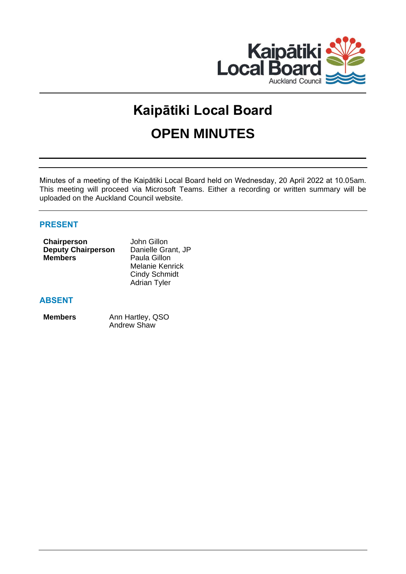

# **Kaipātiki Local Board OPEN MINUTES**

Minutes of a meeting of the Kaipātiki Local Board held on Wednesday, 20 April 2022 at 10.05am. This meeting will proceed via Microsoft Teams. Either a recording or written summary will be uploaded on the Auckland Council website.

# **PRESENT**

| Chairperson               | John Gillon         |
|---------------------------|---------------------|
| <b>Deputy Chairperson</b> | Danielle Grant, JP  |
| <b>Members</b>            | Paula Gillon        |
|                           | Melanie Kenrick     |
|                           | Cindy Schmidt       |
|                           | <b>Adrian Tyler</b> |

# **ABSENT**

**Members** Ann Hartley, QSO Andrew Shaw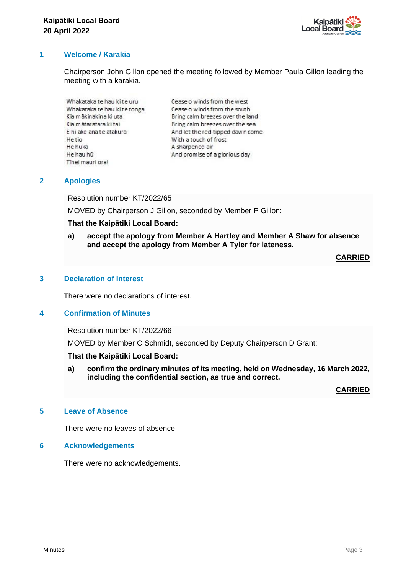

# **1 Welcome / Karakia**

Chairperson John Gillon opened the meeting followed by Member Paula Gillon leading the meeting with a karakia.

Whakataka te hau kite uru Whakataka te hau kite tonga Kia mākinakina ki uta Kia mātaratara ki tai E hī ake ana te atakura He tio He huka He hau hū Tihei mauri oral

Cease o winds from the west Cease o winds from the south Bring calm breezes over the land Bring calm breezes over the sea And let the red-tipped dawn come With a touch of frost A sharpened air And promise of a glorious day

# **2 Apologies**

Resolution number KT/2022/65

MOVED by Chairperson J Gillon, seconded by Member P Gillon:

## **That the Kaipātiki Local Board:**

**a) accept the apology from Member A Hartley and Member A Shaw for absence and accept the apology from Member A Tyler for lateness.**

## **CARRIED**

## **3 Declaration of Interest**

There were no declarations of interest.

# **4 Confirmation of Minutes**

Resolution number KT/2022/66

MOVED by Member C Schmidt, seconded by Deputy Chairperson D Grant:

## **That the Kaipātiki Local Board:**

**a) confirm the ordinary minutes of its meeting, held on Wednesday, 16 March 2022, including the confidential section, as true and correct.**

**CARRIED**

## **5 Leave of Absence**

There were no leaves of absence.

## **6 Acknowledgements**

There were no acknowledgements.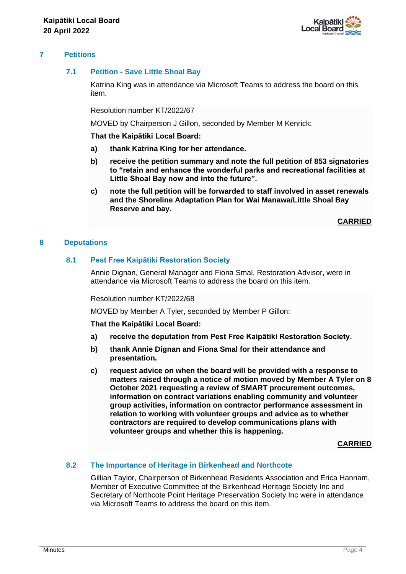

# **7 Petitions**

## **7.1 Petition - Save Little Shoal Bay**

Katrina King was in attendance via Microsoft Teams to address the board on this item.

Resolution number KT/2022/67

MOVED by Chairperson J Gillon, seconded by Member M Kenrick:

**That the Kaipātiki Local Board:**

- **a) thank Katrina King for her attendance.**
- **b) receive the petition summary and note the full petition of 853 signatories to "retain and enhance the wonderful parks and recreational facilities at Little Shoal Bay now and into the future".**
- **c) note the full petition will be forwarded to staff involved in asset renewals and the Shoreline Adaptation Plan for Wai Manawa/Little Shoal Bay Reserve and bay.**

**CARRIED**

## **8 Deputations**

## **8.1 Pest Free Kaipātiki Restoration Society**

Annie Dignan, General Manager and Fiona Smal, Restoration Advisor, were in attendance via Microsoft Teams to address the board on this item.

Resolution number KT/2022/68

MOVED by Member A Tyler, seconded by Member P Gillon:

**That the Kaipātiki Local Board:**

- **a) receive the deputation from Pest Free Kaipātiki Restoration Society.**
- **b) thank Annie Dignan and Fiona Smal for their attendance and presentation.**
- **c) request advice on when the board will be provided with a response to matters raised through a notice of motion moved by Member A Tyler on 8 October 2021 requesting a review of SMART procurement outcomes, information on contract variations enabling community and volunteer group activities, information on contractor performance assessment in relation to working with volunteer groups and advice as to whether contractors are required to develop communications plans with volunteer groups and whether this is happening.**

**CARRIED**

## **8.2 The Importance of Heritage in Birkenhead and Northcote**

Gillian Taylor, Chairperson of Birkenhead Residents Association and Erica Hannam, Member of Executive Committee of the Birkenhead Heritage Society Inc and Secretary of Northcote Point Heritage Preservation Society Inc were in attendance via Microsoft Teams to address the board on this item.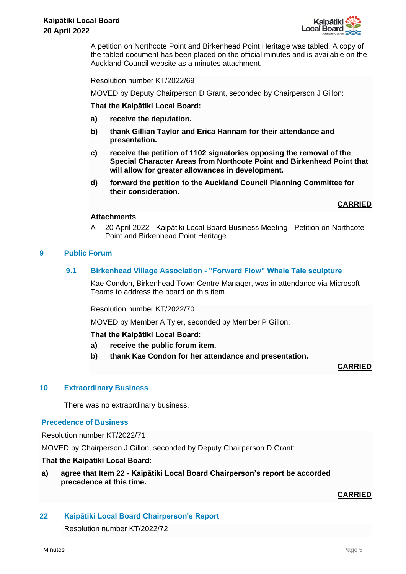

A petition on Northcote Point and Birkenhead Point Heritage was tabled. A copy of the tabled document has been placed on the official minutes and is available on the Auckland Council website as a minutes attachment.

Resolution number KT/2022/69

MOVED by Deputy Chairperson D Grant, seconded by Chairperson J Gillon:

**That the Kaipātiki Local Board:**

- **a) receive the deputation.**
- **b) thank Gillian Taylor and Erica Hannam for their attendance and presentation.**
- **c) receive the petition of 1102 signatories opposing the removal of the Special Character Areas from Northcote Point and Birkenhead Point that will allow for greater allowances in development.**
- **d) forward the petition to the Auckland Council Planning Committee for their consideration.**

**CARRIED**

#### **Attachments**

A 20 April 2022 - Kaipātiki Local Board Business Meeting - Petition on Northcote Point and Birkenhead Point Heritage

## **9 Public Forum**

## **9.1 Birkenhead Village Association - "Forward Flow" Whale Tale sculpture**

Kae Condon, Birkenhead Town Centre Manager, was in attendance via Microsoft Teams to address the board on this item.

Resolution number KT/2022/70

MOVED by Member A Tyler, seconded by Member P Gillon:

**That the Kaipātiki Local Board:**

- **a) receive the public forum item.**
- **b) thank Kae Condon for her attendance and presentation.**

#### **CARRIED**

## **10 Extraordinary Business**

There was no extraordinary business.

#### **Precedence of Business**

Resolution number KT/2022/71

MOVED by Chairperson J Gillon, seconded by Deputy Chairperson D Grant:

#### **That the Kaipātiki Local Board:**

## **a) agree that Item 22 - Kaipātiki Local Board Chairperson's report be accorded precedence at this time.**

## **CARRIED**

## **22 Kaipātiki Local Board Chairperson's Report**

Resolution number KT/2022/72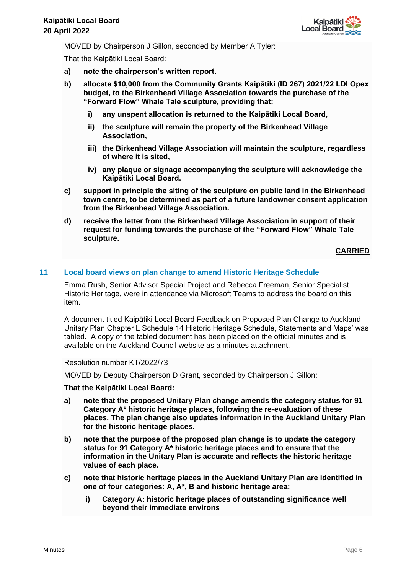

MOVED by Chairperson J Gillon, seconded by Member A Tyler:

That the Kaipātiki Local Board:

- **a) note the chairperson's written report.**
- **b) allocate \$10,000 from the Community Grants Kaipātiki (ID 267) 2021/22 LDI Opex budget, to the Birkenhead Village Association towards the purchase of the "Forward Flow" Whale Tale sculpture, providing that:**
	- **i) any unspent allocation is returned to the Kaipātiki Local Board,**
	- **ii) the sculpture will remain the property of the Birkenhead Village Association,**
	- **iii) the Birkenhead Village Association will maintain the sculpture, regardless of where it is sited,**
	- **iv) any plaque or signage accompanying the sculpture will acknowledge the Kaipātiki Local Board.**
- **c) support in principle the siting of the sculpture on public land in the Birkenhead town centre, to be determined as part of a future landowner consent application from the Birkenhead Village Association.**
- **d) receive the letter from the Birkenhead Village Association in support of their request for funding towards the purchase of the "Forward Flow" Whale Tale sculpture.**

**CARRIED**

## **11 Local board views on plan change to amend Historic Heritage Schedule**

Emma Rush, Senior Advisor Special Project and Rebecca Freeman, Senior Specialist Historic Heritage, were in attendance via Microsoft Teams to address the board on this item.

A document titled Kaipātiki Local Board Feedback on Proposed Plan Change to Auckland Unitary Plan Chapter L Schedule 14 Historic Heritage Schedule, Statements and Maps' was tabled. A copy of the tabled document has been placed on the official minutes and is available on the Auckland Council website as a minutes attachment.

Resolution number KT/2022/73

MOVED by Deputy Chairperson D Grant, seconded by Chairperson J Gillon:

## **That the Kaipātiki Local Board:**

- **a) note that the proposed Unitary Plan change amends the category status for 91 Category A\* historic heritage places, following the re-evaluation of these places. The plan change also updates information in the Auckland Unitary Plan for the historic heritage places.**
- **b) note that the purpose of the proposed plan change is to update the category status for 91 Category A\* historic heritage places and to ensure that the information in the Unitary Plan is accurate and reflects the historic heritage values of each place.**
- **c) note that historic heritage places in the Auckland Unitary Plan are identified in one of four categories: A, A\*, B and historic heritage area:**
	- **i) Category A: historic heritage places of outstanding significance well beyond their immediate environs**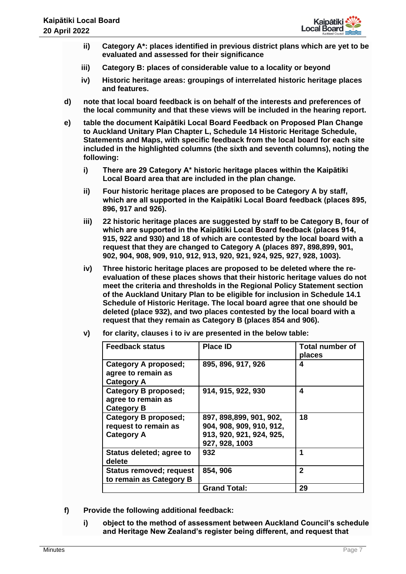

- **ii) Category A\*: places identified in previous district plans which are yet to be evaluated and assessed for their significance**
- **iii) Category B: places of considerable value to a locality or beyond**
- **iv) Historic heritage areas: groupings of interrelated historic heritage places and features.**
- **d) note that local board feedback is on behalf of the interests and preferences of the local community and that these views will be included in the hearing report.**
- **e) table the document Kaipātiki Local Board Feedback on Proposed Plan Change to Auckland Unitary Plan Chapter L, Schedule 14 Historic Heritage Schedule, Statements and Maps, with specific feedback from the local board for each site included in the highlighted columns (the sixth and seventh columns), noting the following:**
	- **i) There are 29 Category A\* historic heritage places within the Kaipātiki Local Board area that are included in the plan change.**
	- **ii) Four historic heritage places are proposed to be Category A by staff, which are all supported in the Kaipātiki Local Board feedback (places 895, 896, 917 and 926).**
	- **iii) 22 historic heritage places are suggested by staff to be Category B, four of which are supported in the Kaipātiki Local Board feedback (places 914, 915, 922 and 930) and 18 of which are contested by the local board with a request that they are changed to Category A (places 897, 898,899, 901, 902, 904, 908, 909, 910, 912, 913, 920, 921, 924, 925, 927, 928, 1003).**
	- **iv) Three historic heritage places are proposed to be deleted where the reevaluation of these places shows that their historic heritage values do not meet the criteria and thresholds in the Regional Policy Statement section of the Auckland Unitary Plan to be eligible for inclusion in Schedule 14.1 Schedule of Historic Heritage. The local board agree that one should be deleted (place 932), and two places contested by the local board with a request that they remain as Category B (places 854 and 906).**

| <b>Feedback status</b>                                            | <b>Place ID</b>                                                                                    | <b>Total number of</b><br>places |
|-------------------------------------------------------------------|----------------------------------------------------------------------------------------------------|----------------------------------|
| Category A proposed;<br>agree to remain as<br><b>Category A</b>   | 895, 896, 917, 926                                                                                 | 4                                |
| Category B proposed;<br>agree to remain as<br><b>Category B</b>   | 914, 915, 922, 930                                                                                 | 4                                |
| Category B proposed;<br>request to remain as<br><b>Category A</b> | 897, 898, 899, 901, 902,<br>904, 908, 909, 910, 912,<br>913, 920, 921, 924, 925,<br>927, 928, 1003 | 18                               |
| Status deleted; agree to<br>delete                                | 932                                                                                                | 1                                |
| <b>Status removed; request</b><br>to remain as Category B         | 854, 906                                                                                           | $\mathbf{2}$                     |
|                                                                   | <b>Grand Total:</b>                                                                                | 29                               |

**v) for clarity, clauses i to iv are presented in the below table:**

- **f) Provide the following additional feedback:**
	- **i) object to the method of assessment between Auckland Council's schedule and Heritage New Zealand's register being different, and request that**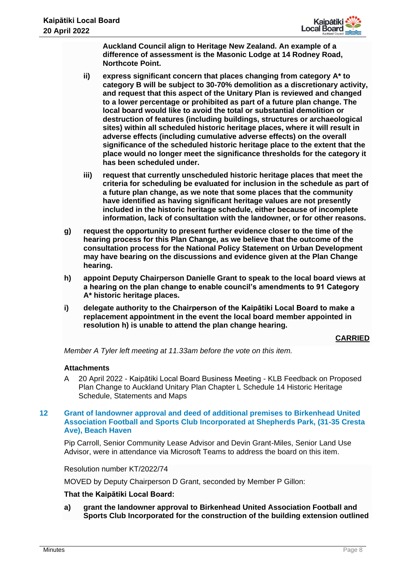

**Auckland Council align to Heritage New Zealand. An example of a difference of assessment is the Masonic Lodge at 14 Rodney Road, Northcote Point.**

- **ii) express significant concern that places changing from category A\* to category B will be subject to 30-70% demolition as a discretionary activity, and request that this aspect of the Unitary Plan is reviewed and changed to a lower percentage or prohibited as part of a future plan change. The local board would like to avoid the total or substantial demolition or destruction of features (including buildings, structures or archaeological sites) within all scheduled historic heritage places, where it will result in adverse effects (including cumulative adverse effects) on the overall significance of the scheduled historic heritage place to the extent that the place would no longer meet the significance thresholds for the category it has been scheduled under.**
- **iii) request that currently unscheduled historic heritage places that meet the criteria for scheduling be evaluated for inclusion in the schedule as part of a future plan change, as we note that some places that the community have identified as having significant heritage values are not presently included in the historic heritage schedule, either because of incomplete information, lack of consultation with the landowner, or for other reasons.**
- **g) request the opportunity to present further evidence closer to the time of the hearing process for this Plan Change, as we believe that the outcome of the consultation process for the National Policy Statement on Urban Development may have bearing on the discussions and evidence given at the Plan Change hearing.**
- **h) appoint Deputy Chairperson Danielle Grant to speak to the local board views at a hearing on the plan change to enable council's amendments to 91 Category A\* historic heritage places.**
- **i) delegate authority to the Chairperson of the Kaipātiki Local Board to make a replacement appointment in the event the local board member appointed in resolution h) is unable to attend the plan change hearing.**

# **CARRIED**

*Member A Tyler left meeting at 11.33am before the vote on this item.* 

## **Attachments**

A 20 April 2022 - Kaipātiki Local Board Business Meeting - KLB Feedback on Proposed Plan Change to Auckland Unitary Plan Chapter L Schedule 14 Historic Heritage Schedule, Statements and Maps

## **12 Grant of landowner approval and deed of additional premises to Birkenhead United Association Football and Sports Club Incorporated at Shepherds Park, (31-35 Cresta Ave), Beach Haven**

Pip Carroll, Senior Community Lease Advisor and Devin Grant-Miles, Senior Land Use Advisor, were in attendance via Microsoft Teams to address the board on this item.

Resolution number KT/2022/74

MOVED by Deputy Chairperson D Grant, seconded by Member P Gillon:

# **That the Kaipātiki Local Board:**

**a) grant the landowner approval to Birkenhead United Association Football and Sports Club Incorporated for the construction of the building extension outlined**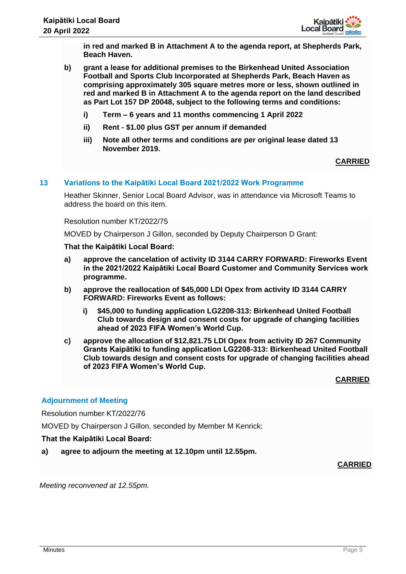

**in red and marked B in Attachment A to the agenda report, at Shepherds Park, Beach Haven.**

- **b) grant a lease for additional premises to the Birkenhead United Association Football and Sports Club Incorporated at Shepherds Park, Beach Haven as comprising approximately 305 square metres more or less, shown outlined in red and marked B in Attachment A to the agenda report on the land described as Part Lot 157 DP 20048, subject to the following terms and conditions:**
	- **i) Term – 6 years and 11 months commencing 1 April 2022**
	- **ii) Rent - \$1.00 plus GST per annum if demanded**
	- **iii) Note all other terms and conditions are per original lease dated 13 November 2019.**

# **CARRIED**

## **13 Variations to the Kaipātiki Local Board 2021/2022 Work Programme**

Heather Skinner, Senior Local Board Advisor, was in attendance via Microsoft Teams to address the board on this item.

Resolution number KT/2022/75

MOVED by Chairperson J Gillon, seconded by Deputy Chairperson D Grant:

#### **That the Kaipātiki Local Board:**

- **a) approve the cancelation of activity ID 3144 CARRY FORWARD: Fireworks Event in the 2021/2022 Kaipātiki Local Board Customer and Community Services work programme.**
- **b) approve the reallocation of \$45,000 LDI Opex from activity ID 3144 CARRY FORWARD: Fireworks Event as follows:** 
	- **i) \$45,000 to funding application LG2208-313: Birkenhead United Football Club towards design and consent costs for upgrade of changing facilities ahead of 2023 FIFA Women's World Cup.**
- **c) approve the allocation of \$12,821.75 LDI Opex from activity ID 267 Community Grants Kaipātiki to funding application LG2208-313: Birkenhead United Football Club towards design and consent costs for upgrade of changing facilities ahead of 2023 FIFA Women's World Cup.**

**CARRIED**

## **Adjournment of Meeting**

Resolution number KT/2022/76

MOVED by Chairperson J Gillon, seconded by Member M Kenrick:

## **That the Kaipātiki Local Board:**

**a) agree to adjourn the meeting at 12.10pm until 12.55pm.** 

**CARRIED**

*Meeting reconvened at 12.55pm.*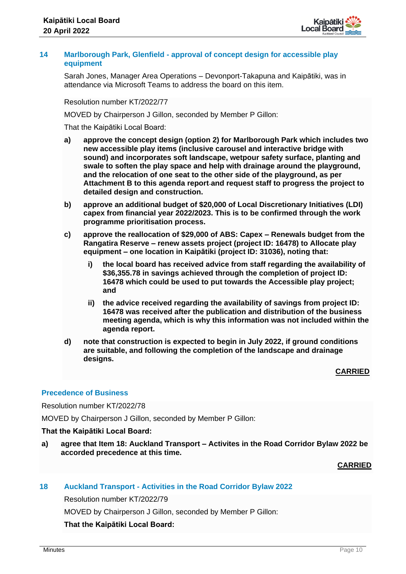

## **14 Marlborough Park, Glenfield - approval of concept design for accessible play equipment**

Sarah Jones, Manager Area Operations – Devonport-Takapuna and Kaipātiki, was in attendance via Microsoft Teams to address the board on this item.

Resolution number KT/2022/77

MOVED by Chairperson J Gillon, seconded by Member P Gillon:

That the Kaipātiki Local Board:

- **a) approve the concept design (option 2) for Marlborough Park which includes two new accessible play items (inclusive carousel and interactive bridge with sound) and incorporates soft landscape, wetpour safety surface, planting and swale to soften the play space and help with drainage around the playground, and the relocation of one seat to the other side of the playground, as per Attachment B to this agenda report and request staff to progress the project to detailed design and construction.**
- **b) approve an additional budget of \$20,000 of Local Discretionary Initiatives (LDI) capex from financial year 2022/2023. This is to be confirmed through the work programme prioritisation process.**
- **c) approve the reallocation of \$29,000 of ABS: Capex – Renewals budget from the Rangatira Reserve – renew assets project (project ID: 16478) to Allocate play equipment – one location in Kaipātiki (project ID: 31036), noting that:**
	- **i) the local board has received advice from staff regarding the availability of \$36,355.78 in savings achieved through the completion of project ID: 16478 which could be used to put towards the Accessible play project; and**
	- **ii) the advice received regarding the availability of savings from project ID: 16478 was received after the publication and distribution of the business meeting agenda, which is why this information was not included within the agenda report.**
- **d) note that construction is expected to begin in July 2022, if ground conditions are suitable, and following the completion of the landscape and drainage designs.**

**CARRIED**

## **Precedence of Business**

Resolution number KT/2022/78

MOVED by Chairperson J Gillon, seconded by Member P Gillon:

#### **That the Kaipātiki Local Board:**

**a) agree that Item 18: Auckland Transport – Activites in the Road Corridor Bylaw 2022 be accorded precedence at this time.**

**CARRIED**

## **18 Auckland Transport - Activities in the Road Corridor Bylaw 2022**

Resolution number KT/2022/79

MOVED by Chairperson J Gillon, seconded by Member P Gillon:

## **That the Kaipātiki Local Board:**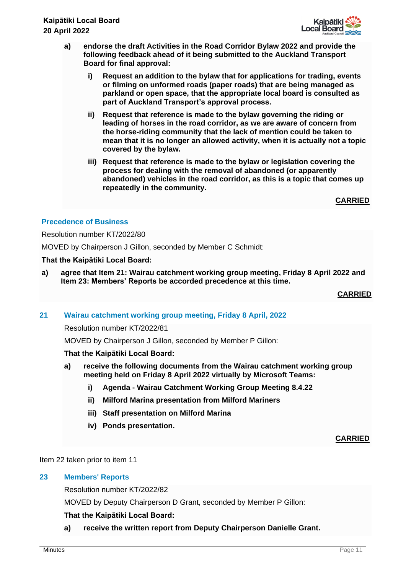

- **a) endorse the draft Activities in the Road Corridor Bylaw 2022 and provide the following feedback ahead of it being submitted to the Auckland Transport Board for final approval:**
	- **i) Request an addition to the bylaw that for applications for trading, events or filming on unformed roads (paper roads) that are being managed as parkland or open space, that the appropriate local board is consulted as part of Auckland Transport's approval process.**
	- **ii) Request that reference is made to the bylaw governing the riding or leading of horses in the road corridor, as we are aware of concern from the horse-riding community that the lack of mention could be taken to mean that it is no longer an allowed activity, when it is actually not a topic covered by the bylaw.**
	- **iii) Request that reference is made to the bylaw or legislation covering the process for dealing with the removal of abandoned (or apparently abandoned) vehicles in the road corridor, as this is a topic that comes up repeatedly in the community.**

**CARRIED**

# **Precedence of Business**

Resolution number KT/2022/80

MOVED by Chairperson J Gillon, seconded by Member C Schmidt:

## **That the Kaipātiki Local Board:**

**a) agree that Item 21: Wairau catchment working group meeting, Friday 8 April 2022 and Item 23: Members' Reports be accorded precedence at this time.**

**CARRIED**

**21 Wairau catchment working group meeting, Friday 8 April, 2022**

Resolution number KT/2022/81

MOVED by Chairperson J Gillon, seconded by Member P Gillon:

## **That the Kaipātiki Local Board:**

- **a) receive the following documents from the Wairau catchment working group meeting held on Friday 8 April 2022 virtually by Microsoft Teams:** 
	- **i) Agenda - Wairau Catchment Working Group Meeting 8.4.22**
	- **ii) Milford Marina presentation from Milford Mariners**
	- **iii) Staff presentation on Milford Marina**
	- **iv) Ponds presentation.**

**CARRIED**

Item 22 taken prior to item 11

## **23 Members' Reports**

Resolution number KT/2022/82

MOVED by Deputy Chairperson D Grant, seconded by Member P Gillon:

# **That the Kaipātiki Local Board:**

**a) receive the written report from Deputy Chairperson Danielle Grant.**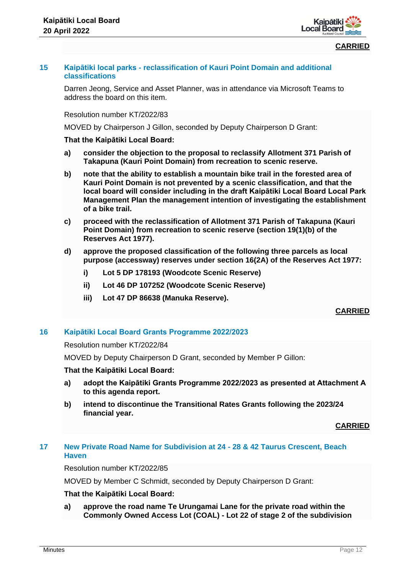



## **15 Kaipātiki local parks - reclassification of Kauri Point Domain and additional classifications**

Darren Jeong, Service and Asset Planner, was in attendance via Microsoft Teams to address the board on this item.

Resolution number KT/2022/83

MOVED by Chairperson J Gillon, seconded by Deputy Chairperson D Grant:

#### **That the Kaipātiki Local Board:**

- **a) consider the objection to the proposal to reclassify Allotment 371 Parish of Takapuna (Kauri Point Domain) from recreation to scenic reserve.**
- **b) note that the ability to establish a mountain bike trail in the forested area of Kauri Point Domain is not prevented by a scenic classification, and that the local board will consider including in the draft Kaipātiki Local Board Local Park Management Plan the management intention of investigating the establishment of a bike trail.**
- **c) proceed with the reclassification of Allotment 371 Parish of Takapuna (Kauri Point Domain) from recreation to scenic reserve (section 19(1)(b) of the Reserves Act 1977).**
- **d) approve the proposed classification of the following three parcels as local purpose (accessway) reserves under section 16(2A) of the Reserves Act 1977:** 
	- **i) Lot 5 DP 178193 (Woodcote Scenic Reserve)**
	- **ii) Lot 46 DP 107252 (Woodcote Scenic Reserve)**
	- **iii) Lot 47 DP 86638 (Manuka Reserve).**

**CARRIED**

# **16 Kaipātiki Local Board Grants Programme 2022/2023**

Resolution number KT/2022/84

MOVED by Deputy Chairperson D Grant, seconded by Member P Gillon:

**That the Kaipātiki Local Board:**

- **a) adopt the Kaipātiki Grants Programme 2022/2023 as presented at Attachment A to this agenda report.**
- **b) intend to discontinue the Transitional Rates Grants following the 2023/24 financial year.**

**CARRIED**

# **17 New Private Road Name for Subdivision at 24 - 28 & 42 Taurus Crescent, Beach Haven**

Resolution number KT/2022/85

MOVED by Member C Schmidt, seconded by Deputy Chairperson D Grant:

## **That the Kaipātiki Local Board:**

**a) approve the road name Te Urungamai Lane for the private road within the Commonly Owned Access Lot (COAL) - Lot 22 of stage 2 of the subdivision**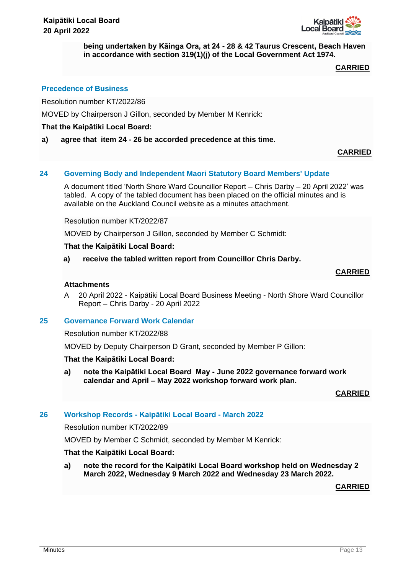

**being undertaken by Kāinga Ora, at 24 - 28 & 42 Taurus Crescent, Beach Haven in accordance with section 319(1)(j) of the Local Government Act 1974.**

# **CARRIED**

## **Precedence of Business**

Resolution number KT/2022/86

MOVED by Chairperson J Gillon, seconded by Member M Kenrick:

#### **That the Kaipātiki Local Board:**

**a) agree that item 24 - 26 be accorded precedence at this time.**

#### **CARRIED**

## **24 Governing Body and Independent Maori Statutory Board Members' Update**

A document titled 'North Shore Ward Councillor Report – Chris Darby – 20 April 2022' was tabled. A copy of the tabled document has been placed on the official minutes and is available on the Auckland Council website as a minutes attachment.

Resolution number KT/2022/87

MOVED by Chairperson J Gillon, seconded by Member C Schmidt:

#### **That the Kaipātiki Local Board:**

**a) receive the tabled written report from Councillor Chris Darby.** 

#### **CARRIED**

## **Attachments**

A 20 April 2022 - Kaipātiki Local Board Business Meeting - North Shore Ward Councillor Report – Chris Darby - 20 April 2022

#### **25 Governance Forward Work Calendar**

Resolution number KT/2022/88

MOVED by Deputy Chairperson D Grant, seconded by Member P Gillon:

#### **That the Kaipātiki Local Board:**

**a) note the Kaipātiki Local Board May - June 2022 governance forward work calendar and April – May 2022 workshop forward work plan.** 

## **CARRIED**

## **26 Workshop Records - Kaipātiki Local Board - March 2022**

Resolution number KT/2022/89

MOVED by Member C Schmidt, seconded by Member M Kenrick:

#### **That the Kaipātiki Local Board:**

**a) note the record for the Kaipātiki Local Board workshop held on Wednesday 2 March 2022, Wednesday 9 March 2022 and Wednesday 23 March 2022.** 

**CARRIED**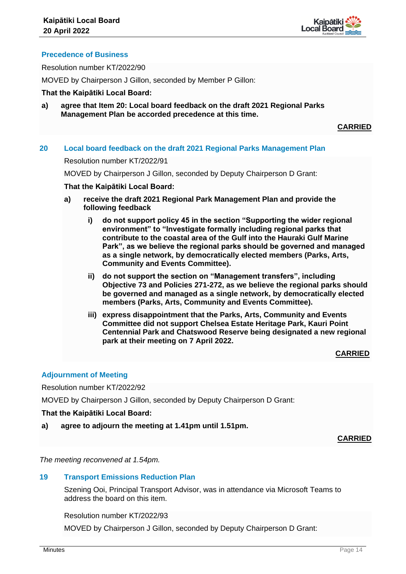

# **Precedence of Business**

Resolution number KT/2022/90

MOVED by Chairperson J Gillon, seconded by Member P Gillon:

## **That the Kaipātiki Local Board:**

**a) agree that Item 20: Local board feedback on the draft 2021 Regional Parks Management Plan be accorded precedence at this time.**

**CARRIED**

## **20 Local board feedback on the draft 2021 Regional Parks Management Plan**

#### Resolution number KT/2022/91

MOVED by Chairperson J Gillon, seconded by Deputy Chairperson D Grant:

#### **That the Kaipātiki Local Board:**

- **a) receive the draft 2021 Regional Park Management Plan and provide the following feedback**
	- **i) do not support policy 45 in the section "Supporting the wider regional environment" to "Investigate formally including regional parks that contribute to the coastal area of the Gulf into the Hauraki Gulf Marine Park", as we believe the regional parks should be governed and managed as a single network, by democratically elected members (Parks, Arts, Community and Events Committee).**
	- **ii) do not support the section on "Management transfers", including Objective 73 and Policies 271-272, as we believe the regional parks should be governed and managed as a single network, by democratically elected members (Parks, Arts, Community and Events Committee).**
	- **iii) express disappointment that the Parks, Arts, Community and Events Committee did not support Chelsea Estate Heritage Park, Kauri Point Centennial Park and Chatswood Reserve being designated a new regional park at their meeting on 7 April 2022.**

## **CARRIED**

# **Adjournment of Meeting**

Resolution number KT/2022/92

MOVED by Chairperson J Gillon, seconded by Deputy Chairperson D Grant:

## **That the Kaipātiki Local Board:**

**a) agree to adjourn the meeting at 1.41pm until 1.51pm.**

**CARRIED**

*The meeting reconvened at 1.54pm.* 

## **19 Transport Emissions Reduction Plan**

Szening Ooi, Principal Transport Advisor, was in attendance via Microsoft Teams to address the board on this item.

Resolution number KT/2022/93

MOVED by Chairperson J Gillon, seconded by Deputy Chairperson D Grant: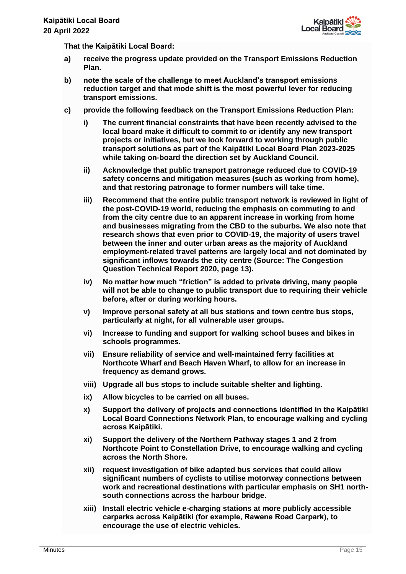

**That the Kaipātiki Local Board:**

- **a) receive the progress update provided on the Transport Emissions Reduction Plan.**
- **b) note the scale of the challenge to meet Auckland's transport emissions reduction target and that mode shift is the most powerful lever for reducing transport emissions.**
- **c) provide the following feedback on the Transport Emissions Reduction Plan:**
	- **i) The current financial constraints that have been recently advised to the local board make it difficult to commit to or identify any new transport projects or initiatives, but we look forward to working through public transport solutions as part of the Kaipātiki Local Board Plan 2023-2025 while taking on-board the direction set by Auckland Council.**
	- **ii) Acknowledge that public transport patronage reduced due to COVID-19 safety concerns and mitigation measures (such as working from home), and that restoring patronage to former numbers will take time.**
	- **iii) Recommend that the entire public transport network is reviewed in light of the post-COVID-19 world, reducing the emphasis on commuting to and from the city centre due to an apparent increase in working from home and businesses migrating from the CBD to the suburbs. We also note that research shows that even prior to COVID-19, the majority of users travel between the inner and outer urban areas as the majority of Auckland employment-related travel patterns are largely local and not dominated by significant inflows towards the city centre (Source: The Congestion Question Technical Report 2020, page 13).**
	- **iv) No matter how much "friction" is added to private driving, many people will not be able to change to public transport due to requiring their vehicle before, after or during working hours.**
	- **v) Improve personal safety at all bus stations and town centre bus stops, particularly at night, for all vulnerable user groups.**
	- **vi) Increase to funding and support for walking school buses and bikes in schools programmes.**
	- **vii) Ensure reliability of service and well-maintained ferry facilities at Northcote Wharf and Beach Haven Wharf, to allow for an increase in frequency as demand grows.**
	- **viii) Upgrade all bus stops to include suitable shelter and lighting.**
	- **ix) Allow bicycles to be carried on all buses.**
	- **x) Support the delivery of projects and connections identified in the Kaipātiki Local Board Connections Network Plan, to encourage walking and cycling across Kaipātiki.**
	- **xi) Support the delivery of the Northern Pathway stages 1 and 2 from Northcote Point to Constellation Drive, to encourage walking and cycling across the North Shore.**
	- **xii) request investigation of bike adapted bus services that could allow significant numbers of cyclists to utilise motorway connections between work and recreational destinations with particular emphasis on SH1 northsouth connections across the harbour bridge.**
	- **xiii) Install electric vehicle e-charging stations at more publicly accessible carparks across Kaipātiki (for example, Rawene Road Carpark), to encourage the use of electric vehicles.**